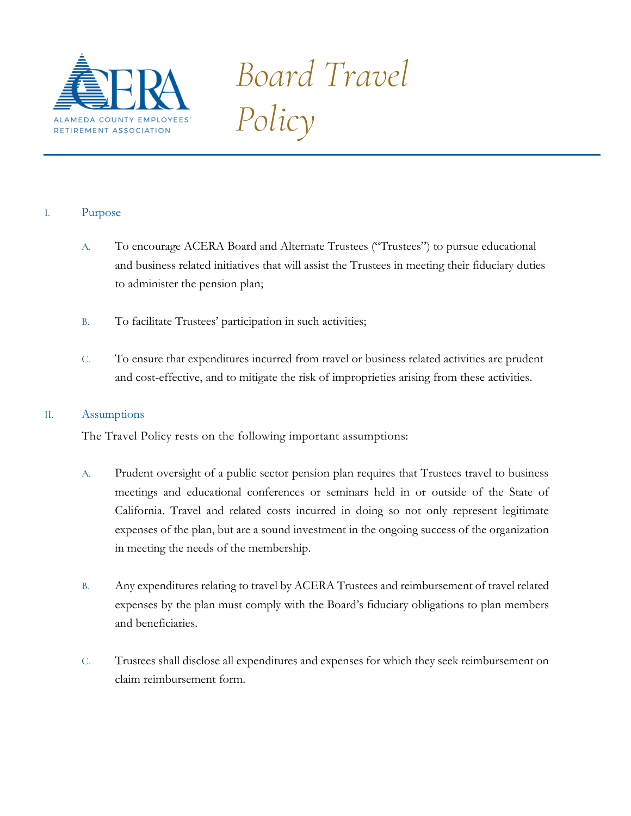

# *Board Travel Policy*

# I. Purpose

- A. To encourage ACERA Board and Alternate Trustees ("Trustees") to pursue educational and business related initiatives that will assist the Trustees in meeting their fiduciary duties to administer the pension plan;
- B. To facilitate Trustees' participation in such activities;
- C. To ensure that expenditures incurred from travel or business related activities are prudent and cost-effective, and to mitigate the risk of improprieties arising from these activities.

#### II. Assumptions

The Travel Policy rests on the following important assumptions:

- A. Prudent oversight of a public sector pension plan requires that Trustees travel to business meetings and educational conferences or seminars held in or outside of the State of California. Travel and related costs incurred in doing so not only represent legitimate expenses of the plan, but are a sound investment in the ongoing success of the organization in meeting the needs of the membership.
- B. Any expenditures relating to travel by ACERA Trustees and reimbursement of travel related expenses by the plan must comply with the Board's fiduciary obligations to plan members and beneficiaries.
- C. Trustees shall disclose all expenditures and expenses for which they seek reimbursement on claim reimbursement form.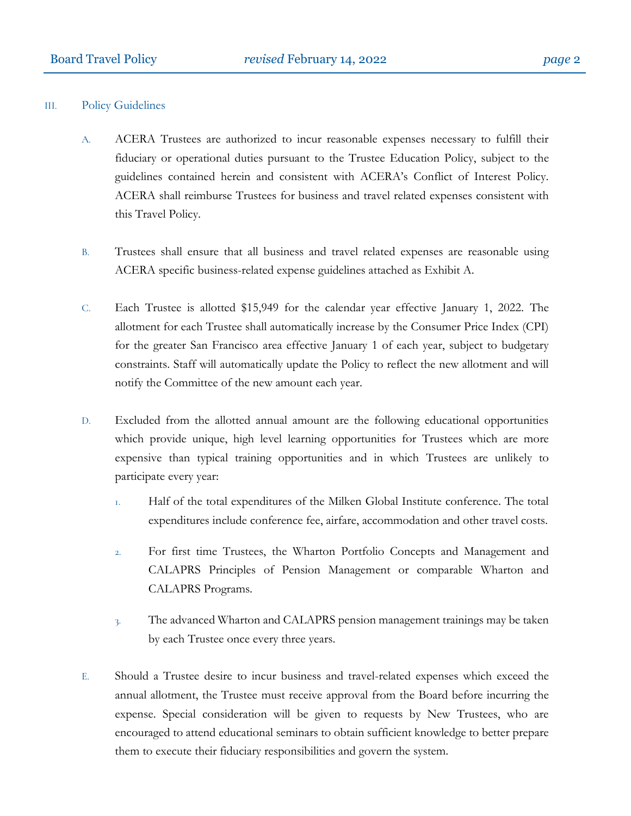#### III. Policy Guidelines

- A. ACERA Trustees are authorized to incur reasonable expenses necessary to fulfill their fiduciary or operational duties pursuant to the Trustee Education Policy, subject to the guidelines contained herein and consistent with ACERA's Conflict of Interest Policy. ACERA shall reimburse Trustees for business and travel related expenses consistent with this Travel Policy.
- B. Trustees shall ensure that all business and travel related expenses are reasonable using ACERA specific business-related expense guidelines attached as Exhibit A.
- C. Each Trustee is allotted \$15,949 for the calendar year effective January 1, 2022. The allotment for each Trustee shall automatically increase by the Consumer Price Index (CPI) for the greater San Francisco area effective January 1 of each year, subject to budgetary constraints. Staff will automatically update the Policy to reflect the new allotment and will notify the Committee of the new amount each year.
- D. Excluded from the allotted annual amount are the following educational opportunities which provide unique, high level learning opportunities for Trustees which are more expensive than typical training opportunities and in which Trustees are unlikely to participate every year:
	- 1. Half of the total expenditures of the Milken Global Institute conference. The total expenditures include conference fee, airfare, accommodation and other travel costs.
	- 2. For first time Trustees, the Wharton Portfolio Concepts and Management and CALAPRS Principles of Pension Management or comparable Wharton and CALAPRS Programs.
	- 3. The advanced Wharton and CALAPRS pension management trainings may be taken by each Trustee once every three years.
- E. Should a Trustee desire to incur business and travel-related expenses which exceed the annual allotment, the Trustee must receive approval from the Board before incurring the expense. Special consideration will be given to requests by New Trustees, who are encouraged to attend educational seminars to obtain sufficient knowledge to better prepare them to execute their fiduciary responsibilities and govern the system.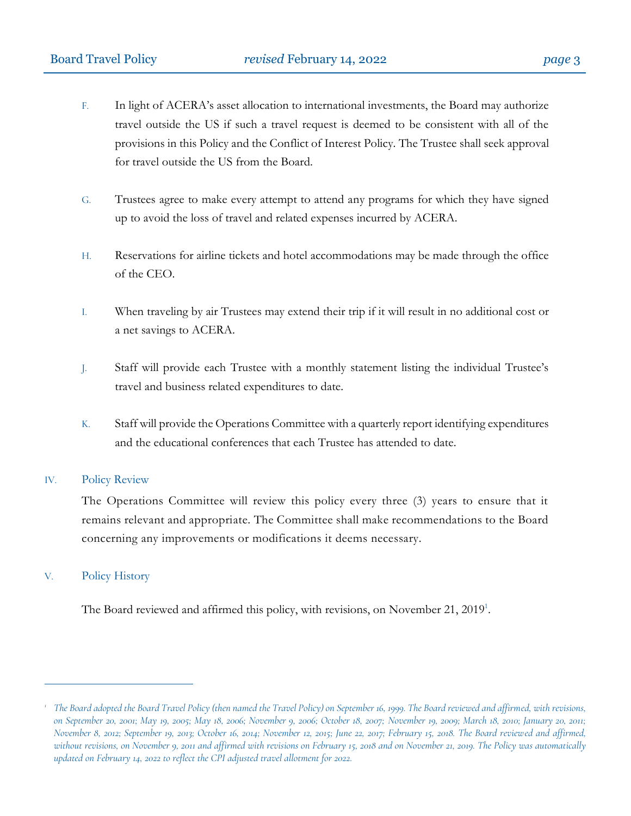- F. In light of ACERA's asset allocation to international investments, the Board may authorize travel outside the US if such a travel request is deemed to be consistent with all of the provisions in this Policy and the Conflict of Interest Policy. The Trustee shall seek approval for travel outside the US from the Board.
- G. Trustees agree to make every attempt to attend any programs for which they have signed up to avoid the loss of travel and related expenses incurred by ACERA.
- H. Reservations for airline tickets and hotel accommodations may be made through the office of the CEO.
- I. When traveling by air Trustees may extend their trip if it will result in no additional cost or a net savings to ACERA.
- J. Staff will provide each Trustee with a monthly statement listing the individual Trustee's travel and business related expenditures to date.
- K. Staff will provide the Operations Committee with a quarterly report identifying expenditures and the educational conferences that each Trustee has attended to date.

#### IV. Policy Review

The Operations Committee will review this policy every three (3) years to ensure that it remains relevant and appropriate. The Committee shall make recommendations to the Board concerning any improvements or modifications it deems necessary.

#### V. Policy History

 $\overline{a}$ 

The Board reviewed and affirmed this policy, with revisions, on November 21, 2019<sup>1</sup>.

*<sup>1</sup> The Board adopted the Board Travel Policy (then named the Travel Policy) on September 16, 1999. The Board reviewed and affirmed, with revisions, on September 20, 2001; May 19, 2005; May 18, 2006; November 9, 2006; October 18, 2007; November 19, 2009; March 18, 2010; January 20, 2011; November 8, 2012; September 19, 2013; October 16, 2014; November 12, 2015; June 22, 2017; February 15, 2018. The Board reviewed and affirmed, without revisions, on November 9, 2011 and affirmed with revisions on February 15, 2018 and on November 21, 2019. The Policy was automatically updated on February 14, 2022 to reflect the CPI adjusted travel allotment for 2022.*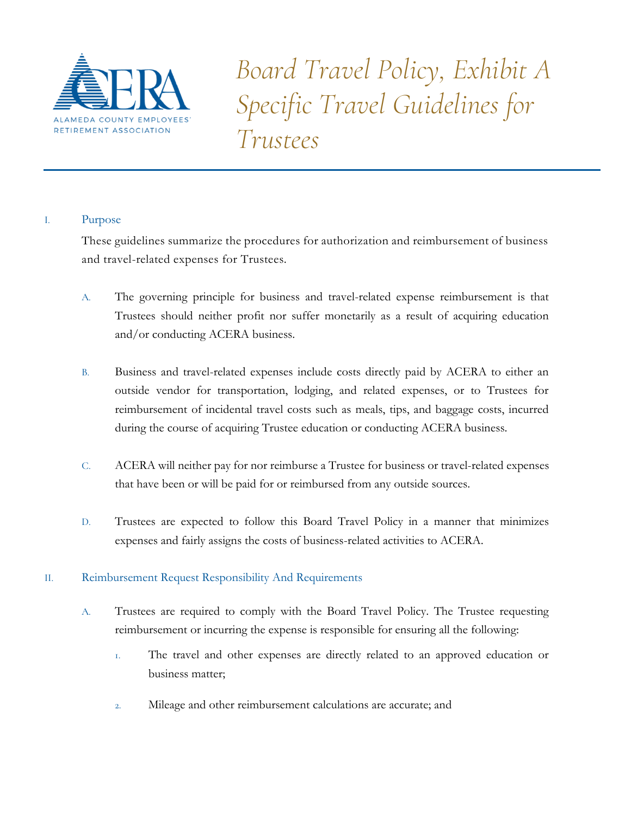

*Board Travel Policy, Exhibit A Specific Travel Guidelines for Trustees*

# I. Purpose

These guidelines summarize the procedures for authorization and reimbursement of business and travel-related expenses for Trustees.

- A. The governing principle for business and travel-related expense reimbursement is that Trustees should neither profit nor suffer monetarily as a result of acquiring education and/or conducting ACERA business.
- B. Business and travel-related expenses include costs directly paid by ACERA to either an outside vendor for transportation, lodging, and related expenses, or to Trustees for reimbursement of incidental travel costs such as meals, tips, and baggage costs, incurred during the course of acquiring Trustee education or conducting ACERA business.
- C. ACERA will neither pay for nor reimburse a Trustee for business or travel-related expenses that have been or will be paid for or reimbursed from any outside sources.
- D. Trustees are expected to follow this Board Travel Policy in a manner that minimizes expenses and fairly assigns the costs of business-related activities to ACERA.

# II. Reimbursement Request Responsibility And Requirements

- A. Trustees are required to comply with the Board Travel Policy. The Trustee requesting reimbursement or incurring the expense is responsible for ensuring all the following:
	- 1. The travel and other expenses are directly related to an approved education or business matter;
	- 2. Mileage and other reimbursement calculations are accurate; and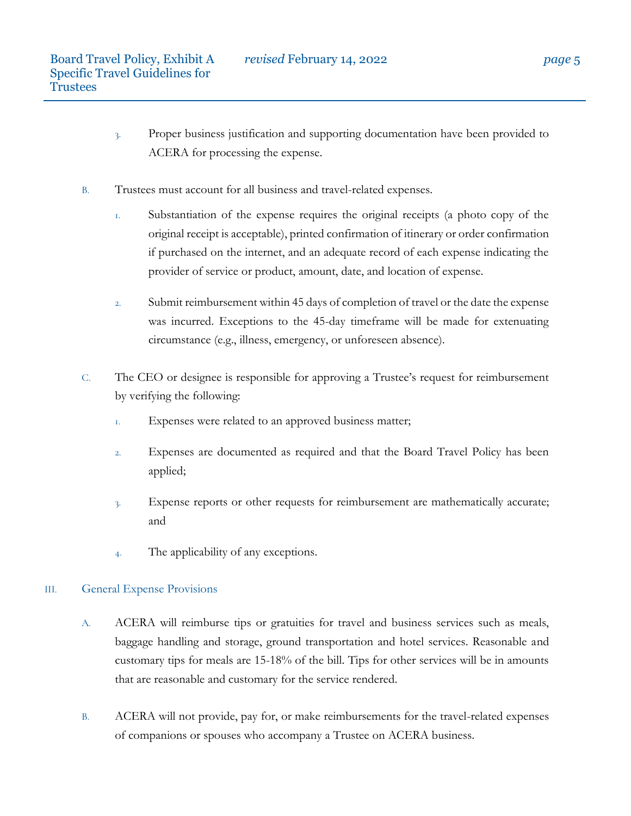- 3. Proper business justification and supporting documentation have been provided to ACERA for processing the expense.
- B. Trustees must account for all business and travel-related expenses.
	- 1. Substantiation of the expense requires the original receipts (a photo copy of the original receipt is acceptable), printed confirmation of itinerary or order confirmation if purchased on the internet, and an adequate record of each expense indicating the provider of service or product, amount, date, and location of expense.
	- 2. Submit reimbursement within 45 days of completion of travel or the date the expense was incurred. Exceptions to the 45-day timeframe will be made for extenuating circumstance (e.g., illness, emergency, or unforeseen absence).
- C. The CEO or designee is responsible for approving a Trustee's request for reimbursement by verifying the following:
	- 1. Expenses were related to an approved business matter;
	- 2. Expenses are documented as required and that the Board Travel Policy has been applied;
	- 3. Expense reports or other requests for reimbursement are mathematically accurate; and
	- 4. The applicability of any exceptions.

# III. General Expense Provisions

- A. ACERA will reimburse tips or gratuities for travel and business services such as meals, baggage handling and storage, ground transportation and hotel services. Reasonable and customary tips for meals are 15-18% of the bill. Tips for other services will be in amounts that are reasonable and customary for the service rendered.
- B. ACERA will not provide, pay for, or make reimbursements for the travel-related expenses of companions or spouses who accompany a Trustee on ACERA business.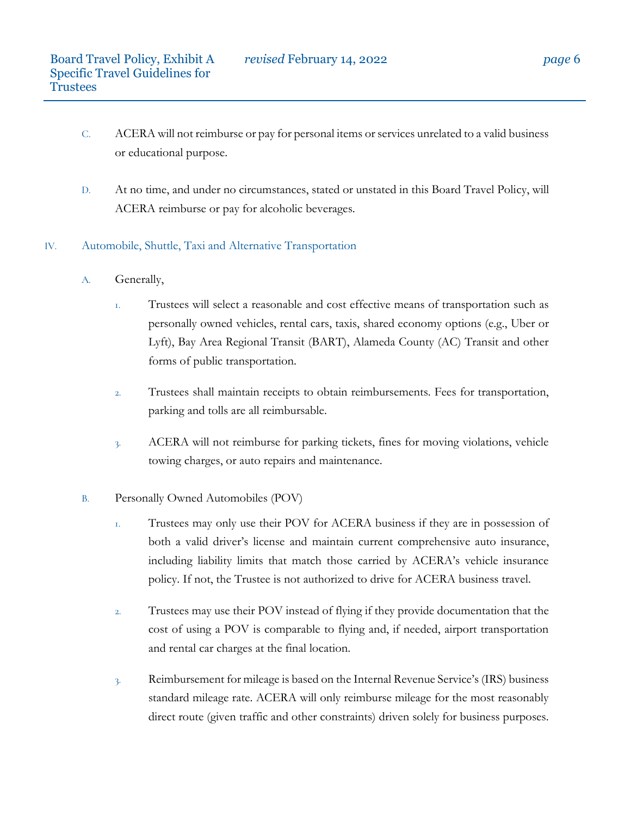- C. ACERA will not reimburse or pay for personal items or services unrelated to a valid business or educational purpose.
- D. At no time, and under no circumstances, stated or unstated in this Board Travel Policy, will ACERA reimburse or pay for alcoholic beverages.

# IV. Automobile, Shuttle, Taxi and Alternative Transportation

- A. Generally,
	- 1. Trustees will select a reasonable and cost effective means of transportation such as personally owned vehicles, rental cars, taxis, shared economy options (e.g., Uber or Lyft), Bay Area Regional Transit (BART), Alameda County (AC) Transit and other forms of public transportation.
	- 2. Trustees shall maintain receipts to obtain reimbursements. Fees for transportation, parking and tolls are all reimbursable.
	- 3. ACERA will not reimburse for parking tickets, fines for moving violations, vehicle towing charges, or auto repairs and maintenance.
- B. Personally Owned Automobiles (POV)
	- 1. Trustees may only use their POV for ACERA business if they are in possession of both a valid driver's license and maintain current comprehensive auto insurance, including liability limits that match those carried by ACERA's vehicle insurance policy. If not, the Trustee is not authorized to drive for ACERA business travel.
	- 2. Trustees may use their POV instead of flying if they provide documentation that the cost of using a POV is comparable to flying and, if needed, airport transportation and rental car charges at the final location.
	- 3. Reimbursement for mileage is based on the Internal Revenue Service's (IRS) business standard mileage rate. ACERA will only reimburse mileage for the most reasonably direct route (given traffic and other constraints) driven solely for business purposes.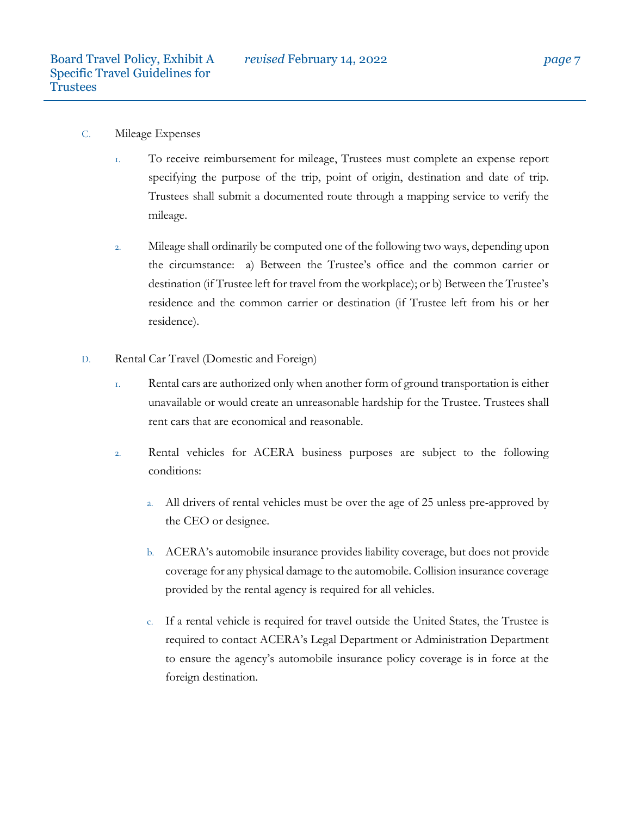- C. Mileage Expenses
	- 1. To receive reimbursement for mileage, Trustees must complete an expense report specifying the purpose of the trip, point of origin, destination and date of trip. Trustees shall submit a documented route through a mapping service to verify the mileage.
	- 2. Mileage shall ordinarily be computed one of the following two ways, depending upon the circumstance: a) Between the Trustee's office and the common carrier or destination (if Trustee left for travel from the workplace); or b) Between the Trustee's residence and the common carrier or destination (if Trustee left from his or her residence).
- D. Rental Car Travel (Domestic and Foreign)
	- 1. Rental cars are authorized only when another form of ground transportation is either unavailable or would create an unreasonable hardship for the Trustee. Trustees shall rent cars that are economical and reasonable.
	- 2. Rental vehicles for ACERA business purposes are subject to the following conditions:
		- a. All drivers of rental vehicles must be over the age of 25 unless pre-approved by the CEO or designee.
		- b. ACERA's automobile insurance provides liability coverage, but does not provide coverage for any physical damage to the automobile. Collision insurance coverage provided by the rental agency is required for all vehicles.
		- c. If a rental vehicle is required for travel outside the United States, the Trustee is required to contact ACERA's Legal Department or Administration Department to ensure the agency's automobile insurance policy coverage is in force at the foreign destination.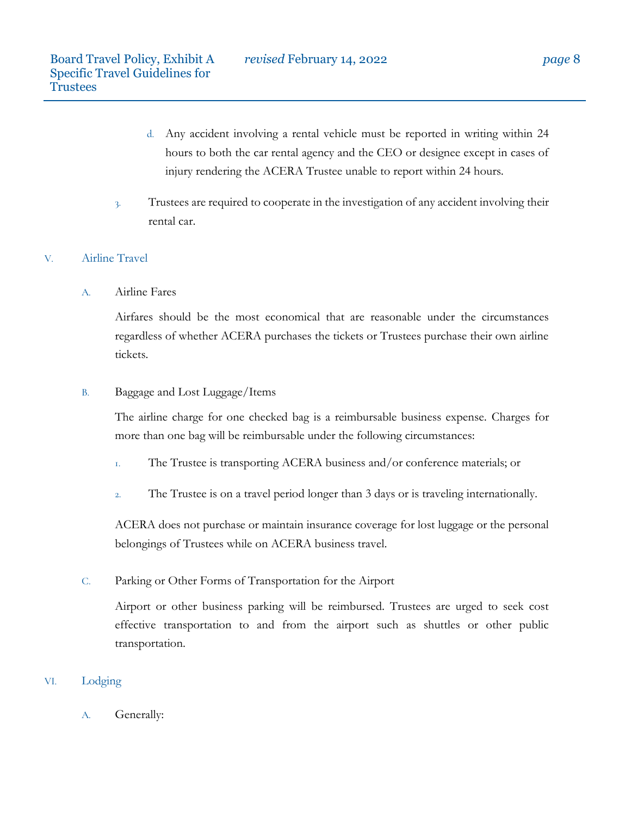- d. Any accident involving a rental vehicle must be reported in writing within 24 hours to both the car rental agency and the CEO or designee except in cases of injury rendering the ACERA Trustee unable to report within 24 hours.
- 3. Trustees are required to cooperate in the investigation of any accident involving their rental car.

# V. Airline Travel

A. Airline Fares

Airfares should be the most economical that are reasonable under the circumstances regardless of whether ACERA purchases the tickets or Trustees purchase their own airline tickets.

### B. Baggage and Lost Luggage/Items

The airline charge for one checked bag is a reimbursable business expense. Charges for more than one bag will be reimbursable under the following circumstances:

- 1. The Trustee is transporting ACERA business and/or conference materials; or
- 2. The Trustee is on a travel period longer than 3 days or is traveling internationally.

ACERA does not purchase or maintain insurance coverage for lost luggage or the personal belongings of Trustees while on ACERA business travel.

# C. Parking or Other Forms of Transportation for the Airport

Airport or other business parking will be reimbursed. Trustees are urged to seek cost effective transportation to and from the airport such as shuttles or other public transportation.

# VI. Lodging

A. Generally: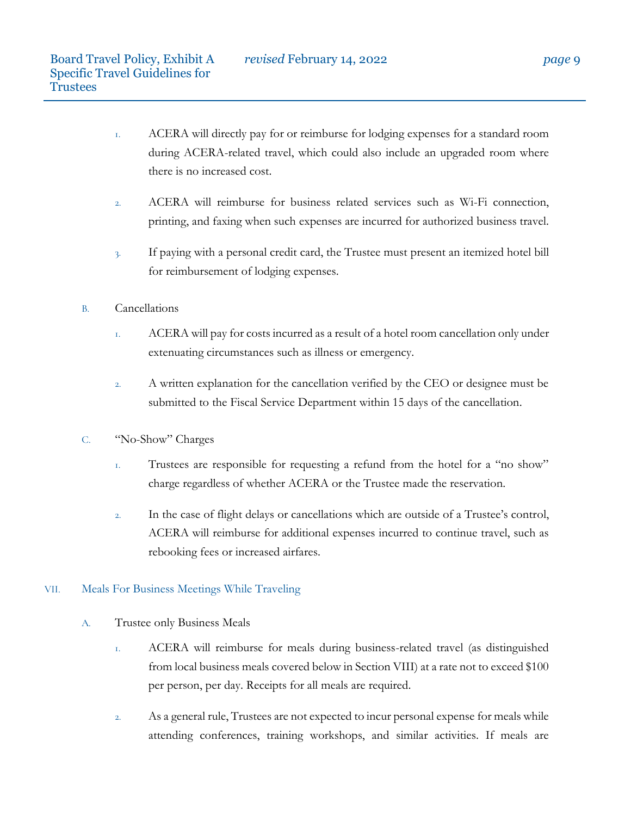- 1. ACERA will directly pay for or reimburse for lodging expenses for a standard room during ACERA-related travel, which could also include an upgraded room where there is no increased cost.
- 2. ACERA will reimburse for business related services such as Wi-Fi connection, printing, and faxing when such expenses are incurred for authorized business travel.
- 3. If paying with a personal credit card, the Trustee must present an itemized hotel bill for reimbursement of lodging expenses.
- B. Cancellations
	- 1. ACERA will pay for costs incurred as a result of a hotel room cancellation only under extenuating circumstances such as illness or emergency.
	- 2. A written explanation for the cancellation verified by the CEO or designee must be submitted to the Fiscal Service Department within 15 days of the cancellation.
- C. "No-Show" Charges
	- 1. Trustees are responsible for requesting a refund from the hotel for a "no show" charge regardless of whether ACERA or the Trustee made the reservation.
	- 2. In the case of flight delays or cancellations which are outside of a Trustee's control, ACERA will reimburse for additional expenses incurred to continue travel, such as rebooking fees or increased airfares.

# VII. Meals For Business Meetings While Traveling

- A. Trustee only Business Meals
	- 1. ACERA will reimburse for meals during business-related travel (as distinguished from local business meals covered below in Section VIII) at a rate not to exceed \$100 per person, per day. Receipts for all meals are required.
	- 2. As a general rule, Trustees are not expected to incur personal expense for meals while attending conferences, training workshops, and similar activities. If meals are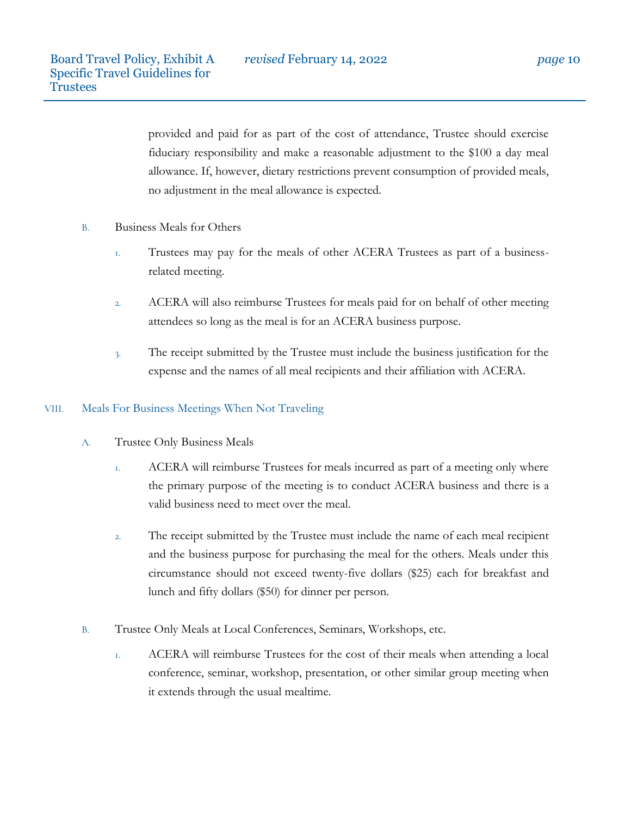provided and paid for as part of the cost of attendance, Trustee should exercise fiduciary responsibility and make a reasonable adjustment to the \$100 a day meal allowance. If, however, dietary restrictions prevent consumption of provided meals, no adjustment in the meal allowance is expected.

- B. Business Meals for Others
	- 1. Trustees may pay for the meals of other ACERA Trustees as part of a businessrelated meeting.
	- 2. ACERA will also reimburse Trustees for meals paid for on behalf of other meeting attendees so long as the meal is for an ACERA business purpose.
	- 3. The receipt submitted by the Trustee must include the business justification for the expense and the names of all meal recipients and their affiliation with ACERA.

# VIII. Meals For Business Meetings When Not Traveling

- A. Trustee Only Business Meals
	- 1. ACERA will reimburse Trustees for meals incurred as part of a meeting only where the primary purpose of the meeting is to conduct ACERA business and there is a valid business need to meet over the meal.
	- 2. The receipt submitted by the Trustee must include the name of each meal recipient and the business purpose for purchasing the meal for the others. Meals under this circumstance should not exceed twenty-five dollars (\$25) each for breakfast and lunch and fifty dollars (\$50) for dinner per person.
- B. Trustee Only Meals at Local Conferences, Seminars, Workshops, etc.
	- 1. ACERA will reimburse Trustees for the cost of their meals when attending a local conference, seminar, workshop, presentation, or other similar group meeting when it extends through the usual mealtime.